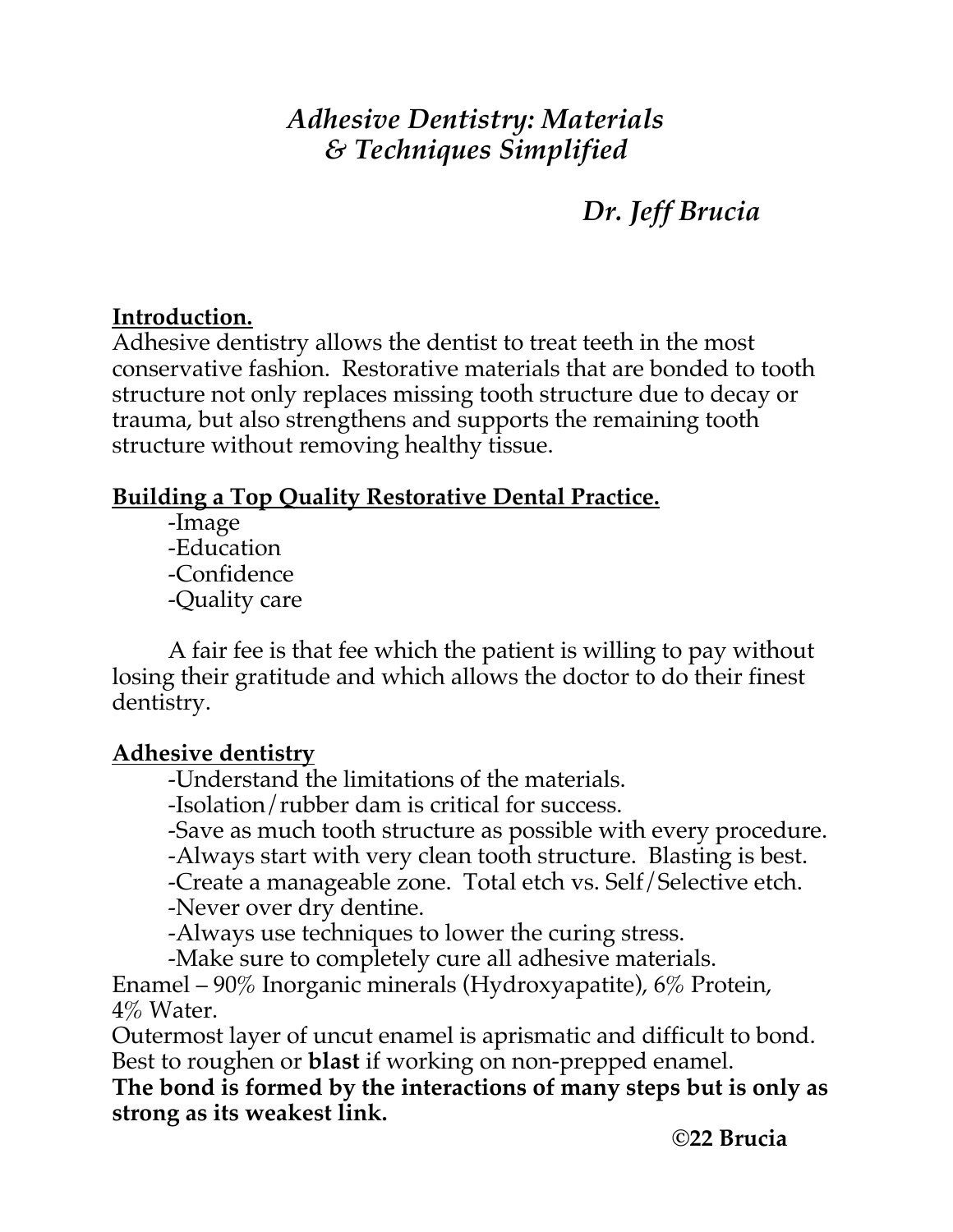# *Adhesive Dentistry: Materials & Techniques Simplified*

# *Dr. Jeff Brucia*

# **Introduction.**

Adhesive dentistry allows the dentist to treat teeth in the most conservative fashion. Restorative materials that are bonded to tooth structure not only replaces missing tooth structure due to decay or trauma, but also strengthens and supports the remaining tooth structure without removing healthy tissue.

# **Building a Top Quality Restorative Dental Practice.**

-Image -Education -Confidence -Quality care

 A fair fee is that fee which the patient is willing to pay without losing their gratitude and which allows the doctor to do their finest dentistry.

# **Adhesive dentistry**

-Understand the limitations of the materials.

-Isolation/rubber dam is critical for success.

-Save as much tooth structure as possible with every procedure.

-Always start with very clean tooth structure. Blasting is best.

-Create a manageable zone. Total etch vs. Self/Selective etch.

-Never over dry dentine.

-Always use techniques to lower the curing stress.

-Make sure to completely cure all adhesive materials.

Enamel – 90% Inorganic minerals (Hydroxyapatite), 6% Protein, 4% Water.

Outermost layer of uncut enamel is aprismatic and difficult to bond. Best to roughen or **blast** if working on non-prepped enamel.

**The bond is formed by the interactions of many steps but is only as strong as its weakest link.**

**©22 Brucia**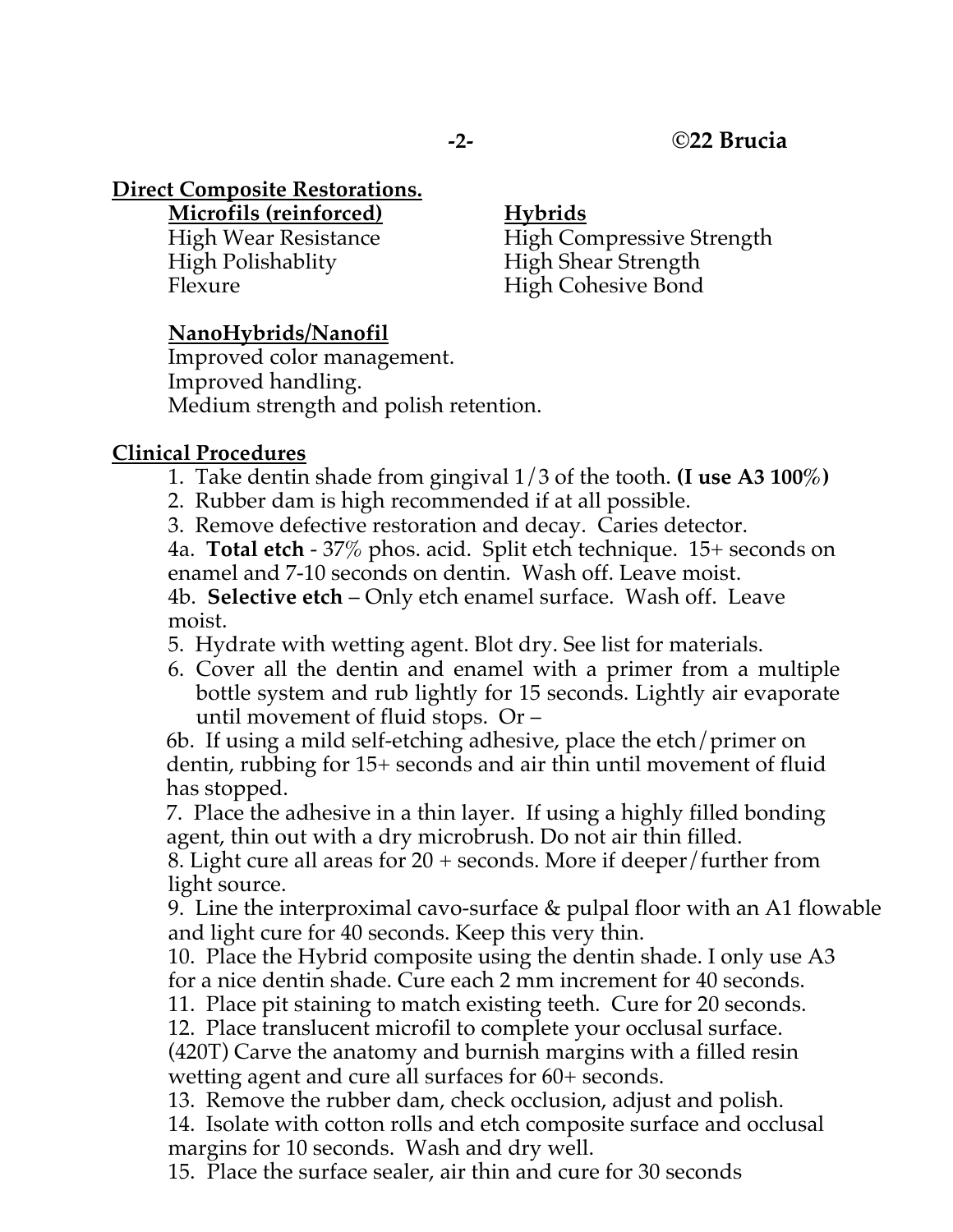## **Direct Composite Restorations.**

**Microfils (reinforced) Hybrids**

High Polishablity High Shear Strength Flexure High Cohesive Bond

High Wear Resistance High Compressive Strength

## **NanoHybrids/Nanofil**

Improved color management. Improved handling. Medium strength and polish retention.

### **Clinical Procedures**

- 1. Take dentin shade from gingival 1/3 of the tooth. **(I use A3 100%)**
- 2. Rubber dam is high recommended if at all possible.
- 3. Remove defective restoration and decay. Caries detector.

4a. **Total etch** - 37% phos. acid. Split etch technique. 15+ seconds on enamel and 7-10 seconds on dentin. Wash off. Leave moist. 4b. **Selective etch** – Only etch enamel surface. Wash off. Leave moist.

5. Hydrate with wetting agent. Blot dry. See list for materials.

6. Cover all the dentin and enamel with a primer from a multiple bottle system and rub lightly for 15 seconds. Lightly air evaporate until movement of fluid stops. Or –

6b. If using a mild self-etching adhesive, place the etch/primer on dentin, rubbing for 15+ seconds and air thin until movement of fluid has stopped.

7. Place the adhesive in a thin layer. If using a highly filled bonding agent, thin out with a dry microbrush. Do not air thin filled.

8. Light cure all areas for 20 + seconds. More if deeper/further from light source.

9. Line the interproximal cavo-surface & pulpal floor with an A1 flowable and light cure for 40 seconds. Keep this very thin.

10. Place the Hybrid composite using the dentin shade. I only use A3 for a nice dentin shade. Cure each 2 mm increment for 40 seconds.

11. Place pit staining to match existing teeth. Cure for 20 seconds.

12. Place translucent microfil to complete your occlusal surface.

(420T) Carve the anatomy and burnish margins with a filled resin wetting agent and cure all surfaces for 60+ seconds.

13. Remove the rubber dam, check occlusion, adjust and polish.

14. Isolate with cotton rolls and etch composite surface and occlusal margins for 10 seconds. Wash and dry well.

15. Place the surface sealer, air thin and cure for 30 seconds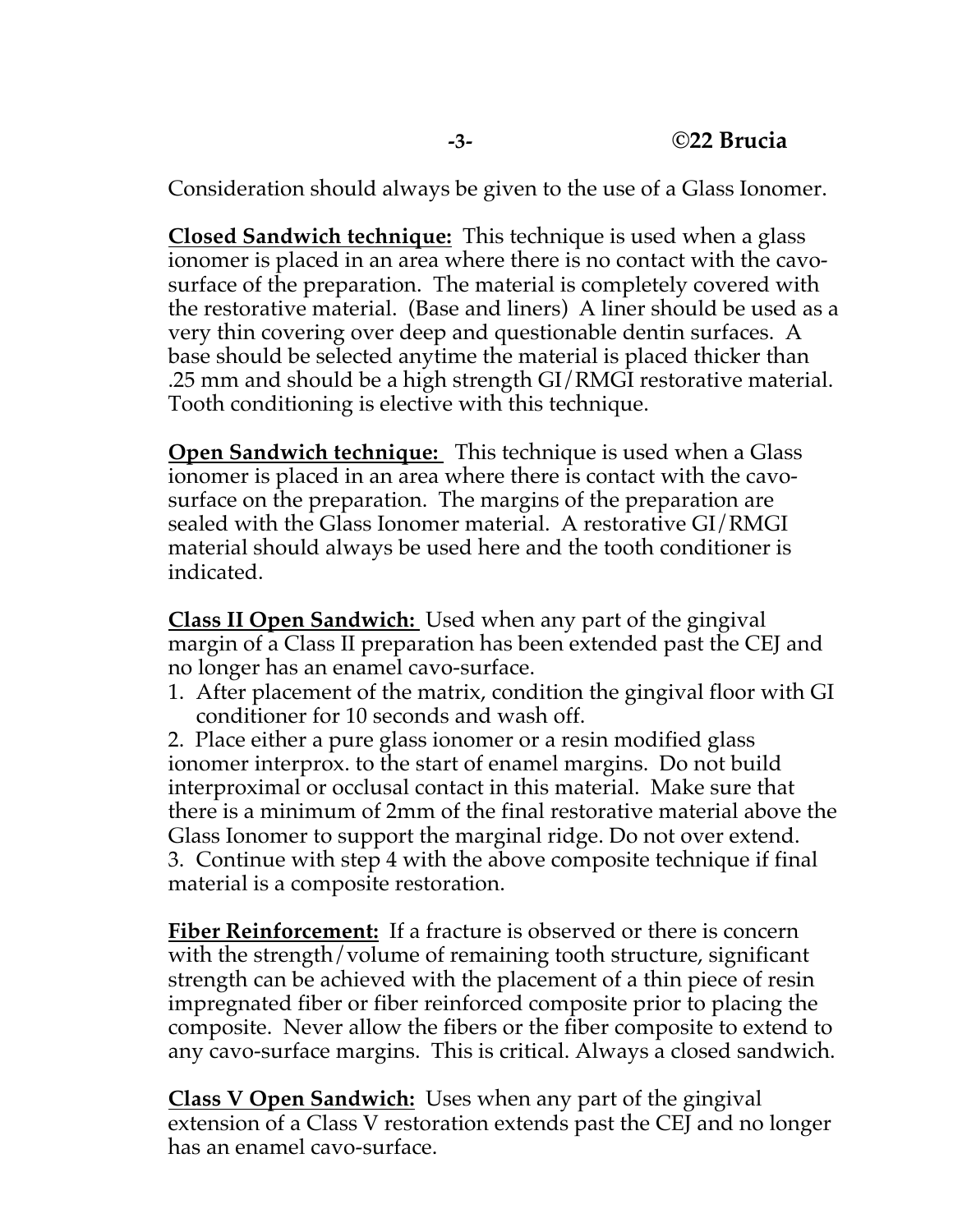Consideration should always be given to the use of a Glass Ionomer.

**Closed Sandwich technique:** This technique is used when a glass ionomer is placed in an area where there is no contact with the cavosurface of the preparation. The material is completely covered with the restorative material. (Base and liners) A liner should be used as a very thin covering over deep and questionable dentin surfaces. A base should be selected anytime the material is placed thicker than .25 mm and should be a high strength GI/RMGI restorative material. Tooth conditioning is elective with this technique.

**Open Sandwich technique:** This technique is used when a Glass ionomer is placed in an area where there is contact with the cavosurface on the preparation. The margins of the preparation are sealed with the Glass Ionomer material. A restorative GI/RMGI material should always be used here and the tooth conditioner is indicated.

**Class II Open Sandwich:** Used when any part of the gingival margin of a Class II preparation has been extended past the CEJ and no longer has an enamel cavo-surface.

1. After placement of the matrix, condition the gingival floor with GI conditioner for 10 seconds and wash off.

2. Place either a pure glass ionomer or a resin modified glass ionomer interprox. to the start of enamel margins. Do not build interproximal or occlusal contact in this material. Make sure that there is a minimum of 2mm of the final restorative material above the Glass Ionomer to support the marginal ridge. Do not over extend. 3. Continue with step 4 with the above composite technique if final material is a composite restoration.

**Fiber Reinforcement:** If a fracture is observed or there is concern with the strength/volume of remaining tooth structure, significant strength can be achieved with the placement of a thin piece of resin impregnated fiber or fiber reinforced composite prior to placing the composite. Never allow the fibers or the fiber composite to extend to any cavo-surface margins. This is critical. Always a closed sandwich.

**Class V Open Sandwich:** Uses when any part of the gingival extension of a Class V restoration extends past the CEJ and no longer has an enamel cavo-surface.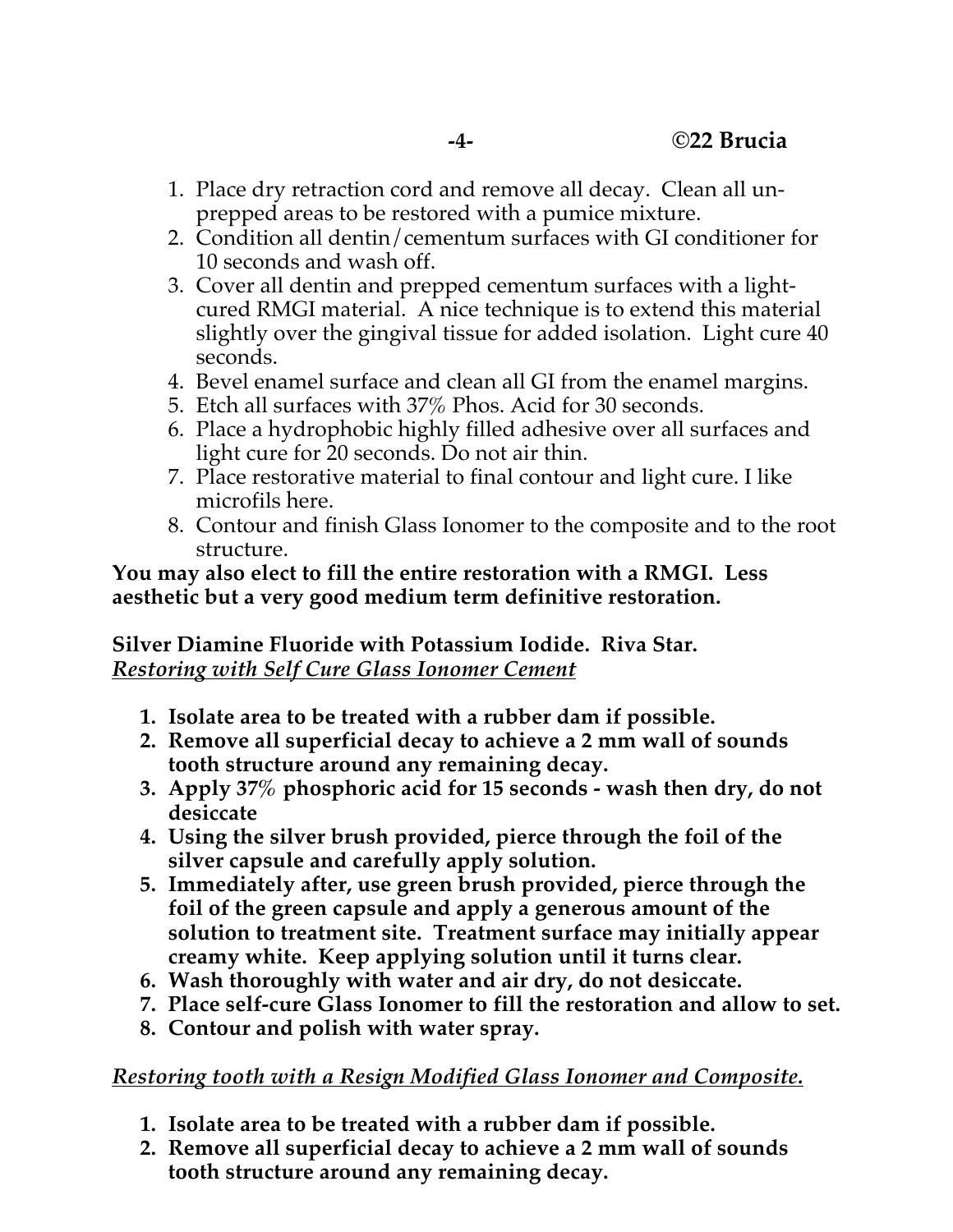- 1. Place dry retraction cord and remove all decay. Clean all unprepped areas to be restored with a pumice mixture.
- 2. Condition all dentin/cementum surfaces with GI conditioner for 10 seconds and wash off.
- 3. Cover all dentin and prepped cementum surfaces with a lightcured RMGI material. A nice technique is to extend this material slightly over the gingival tissue for added isolation. Light cure 40 seconds.
- 4. Bevel enamel surface and clean all GI from the enamel margins.
- 5. Etch all surfaces with 37% Phos. Acid for 30 seconds.
- 6. Place a hydrophobic highly filled adhesive over all surfaces and light cure for 20 seconds. Do not air thin.
- 7. Place restorative material to final contour and light cure. I like microfils here.
- 8. Contour and finish Glass Ionomer to the composite and to the root structure.

#### **You may also elect to fill the entire restoration with a RMGI. Less aesthetic but a very good medium term definitive restoration.**

**Silver Diamine Fluoride with Potassium Iodide. Riva Star.** *Restoring with Self Cure Glass Ionomer Cement*

- **1. Isolate area to be treated with a rubber dam if possible.**
- **2. Remove all superficial decay to achieve a 2 mm wall of sounds tooth structure around any remaining decay.**
- **3. Apply 37% phosphoric acid for 15 seconds - wash then dry, do not desiccate**
- **4. Using the silver brush provided, pierce through the foil of the silver capsule and carefully apply solution.**
- **5. Immediately after, use green brush provided, pierce through the foil of the green capsule and apply a generous amount of the solution to treatment site. Treatment surface may initially appear creamy white. Keep applying solution until it turns clear.**
- **6. Wash thoroughly with water and air dry, do not desiccate.**
- **7. Place self-cure Glass Ionomer to fill the restoration and allow to set.**
- **8. Contour and polish with water spray.**

# *Restoring tooth with a Resign Modified Glass Ionomer and Composite.*

- **1. Isolate area to be treated with a rubber dam if possible.**
- **2. Remove all superficial decay to achieve a 2 mm wall of sounds tooth structure around any remaining decay.**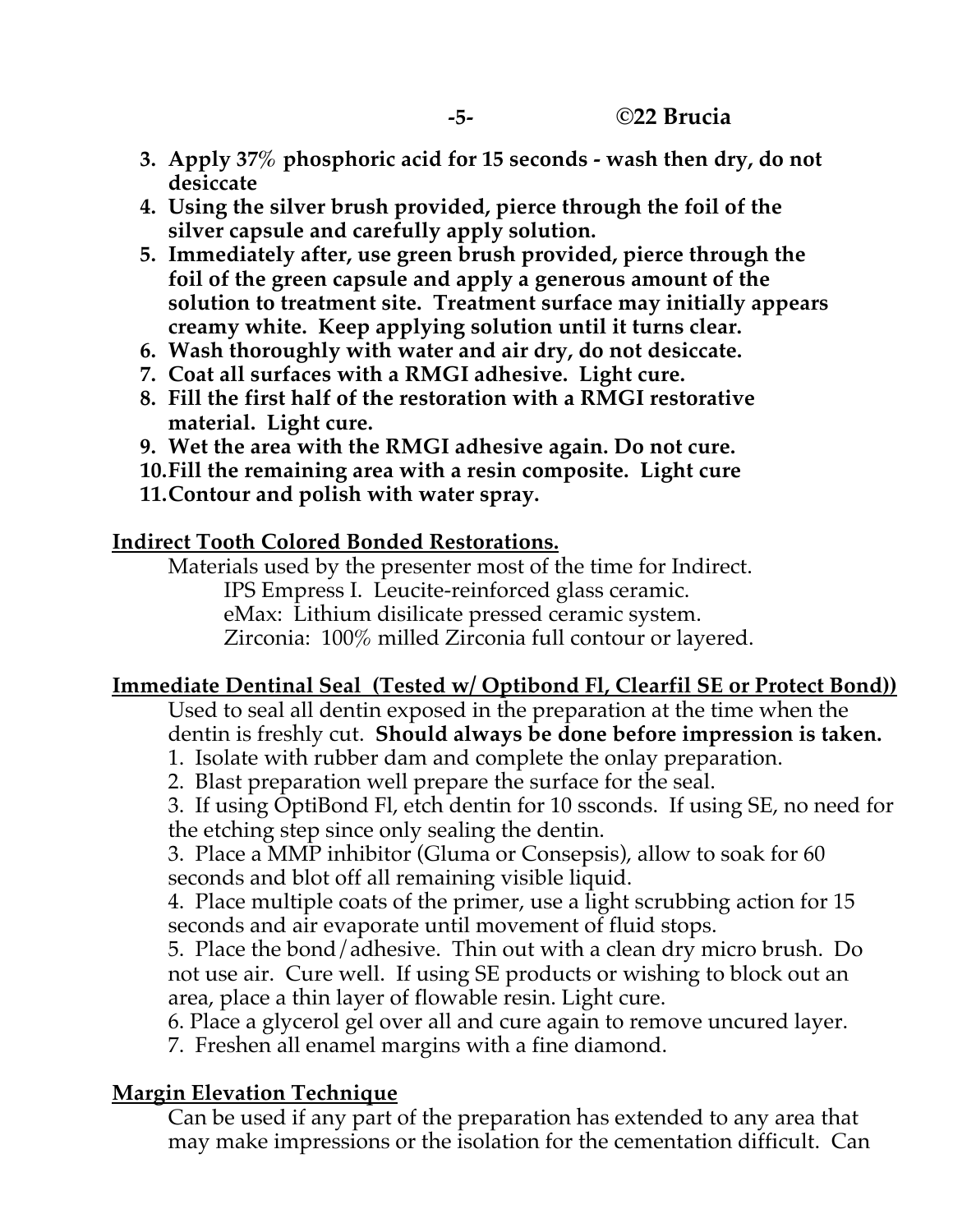- **3. Apply 37% phosphoric acid for 15 seconds - wash then dry, do not desiccate**
- **4. Using the silver brush provided, pierce through the foil of the silver capsule and carefully apply solution.**
- **5. Immediately after, use green brush provided, pierce through the foil of the green capsule and apply a generous amount of the solution to treatment site. Treatment surface may initially appears creamy white. Keep applying solution until it turns clear.**
- **6. Wash thoroughly with water and air dry, do not desiccate.**
- **7. Coat all surfaces with a RMGI adhesive. Light cure.**
- **8. Fill the first half of the restoration with a RMGI restorative material. Light cure.**
- **9. Wet the area with the RMGI adhesive again. Do not cure.**
- **10.Fill the remaining area with a resin composite. Light cure**
- **11.Contour and polish with water spray.**

### **Indirect Tooth Colored Bonded Restorations.**

Materials used by the presenter most of the time for Indirect. IPS Empress I. Leucite-reinforced glass ceramic. eMax: Lithium disilicate pressed ceramic system. Zirconia: 100% milled Zirconia full contour or layered.

### **Immediate Dentinal Seal (Tested w/ Optibond Fl, Clearfil SE or Protect Bond))**

Used to seal all dentin exposed in the preparation at the time when the dentin is freshly cut. **Should always be done before impression is taken.**

- 1. Isolate with rubber dam and complete the onlay preparation.
- 2. Blast preparation well prepare the surface for the seal.

3. If using OptiBond Fl, etch dentin for 10 ssconds. If using SE, no need for the etching step since only sealing the dentin.

3. Place a MMP inhibitor (Gluma or Consepsis), allow to soak for 60 seconds and blot off all remaining visible liquid.

4. Place multiple coats of the primer, use a light scrubbing action for 15 seconds and air evaporate until movement of fluid stops.

5. Place the bond/adhesive. Thin out with a clean dry micro brush. Do not use air. Cure well. If using SE products or wishing to block out an area, place a thin layer of flowable resin. Light cure.

6. Place a glycerol gel over all and cure again to remove uncured layer.

7. Freshen all enamel margins with a fine diamond.

### **Margin Elevation Technique**

Can be used if any part of the preparation has extended to any area that may make impressions or the isolation for the cementation difficult. Can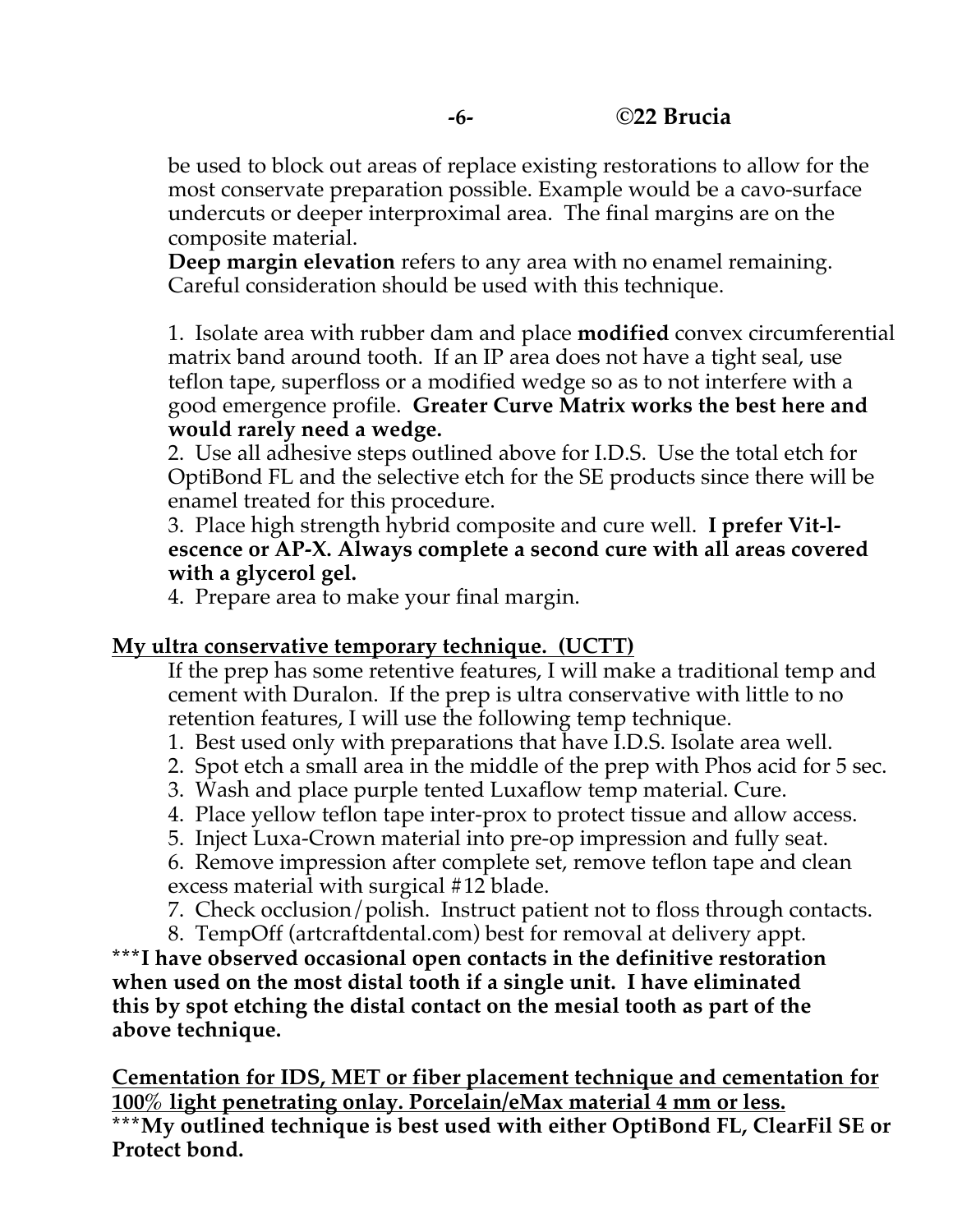be used to block out areas of replace existing restorations to allow for the most conservate preparation possible. Example would be a cavo-surface undercuts or deeper interproximal area. The final margins are on the composite material.

**Deep margin elevation** refers to any area with no enamel remaining. Careful consideration should be used with this technique.

1. Isolate area with rubber dam and place **modified** convex circumferential matrix band around tooth. If an IP area does not have a tight seal, use teflon tape, superfloss or a modified wedge so as to not interfere with a good emergence profile. **Greater Curve Matrix works the best here and would rarely need a wedge.** 

2. Use all adhesive steps outlined above for I.D.S. Use the total etch for OptiBond FL and the selective etch for the SE products since there will be enamel treated for this procedure.

3. Place high strength hybrid composite and cure well. **I prefer Vit-lescence or AP-X. Always complete a second cure with all areas covered with a glycerol gel.** 

4. Prepare area to make your final margin.

### **My ultra conservative temporary technique. (UCTT)**

If the prep has some retentive features, I will make a traditional temp and cement with Duralon. If the prep is ultra conservative with little to no retention features, I will use the following temp technique.

- 1. Best used only with preparations that have I.D.S. Isolate area well.
- 2. Spot etch a small area in the middle of the prep with Phos acid for 5 sec.
- 3. Wash and place purple tented Luxaflow temp material. Cure.
- 4. Place yellow teflon tape inter-prox to protect tissue and allow access.
- 5. Inject Luxa-Crown material into pre-op impression and fully seat.

6. Remove impression after complete set, remove teflon tape and clean excess material with surgical #12 blade.

7. Check occlusion/polish. Instruct patient not to floss through contacts.

8. TempOff (artcraftdental.com) best for removal at delivery appt. **\*\*\*I have observed occasional open contacts in the definitive restoration when used on the most distal tooth if a single unit. I have eliminated this by spot etching the distal contact on the mesial tooth as part of the above technique.** 

**Cementation for IDS, MET or fiber placement technique and cementation for 100% light penetrating onlay. Porcelain/eMax material 4 mm or less.**

**\*\*\*My outlined technique is best used with either OptiBond FL, ClearFil SE or Protect bond.**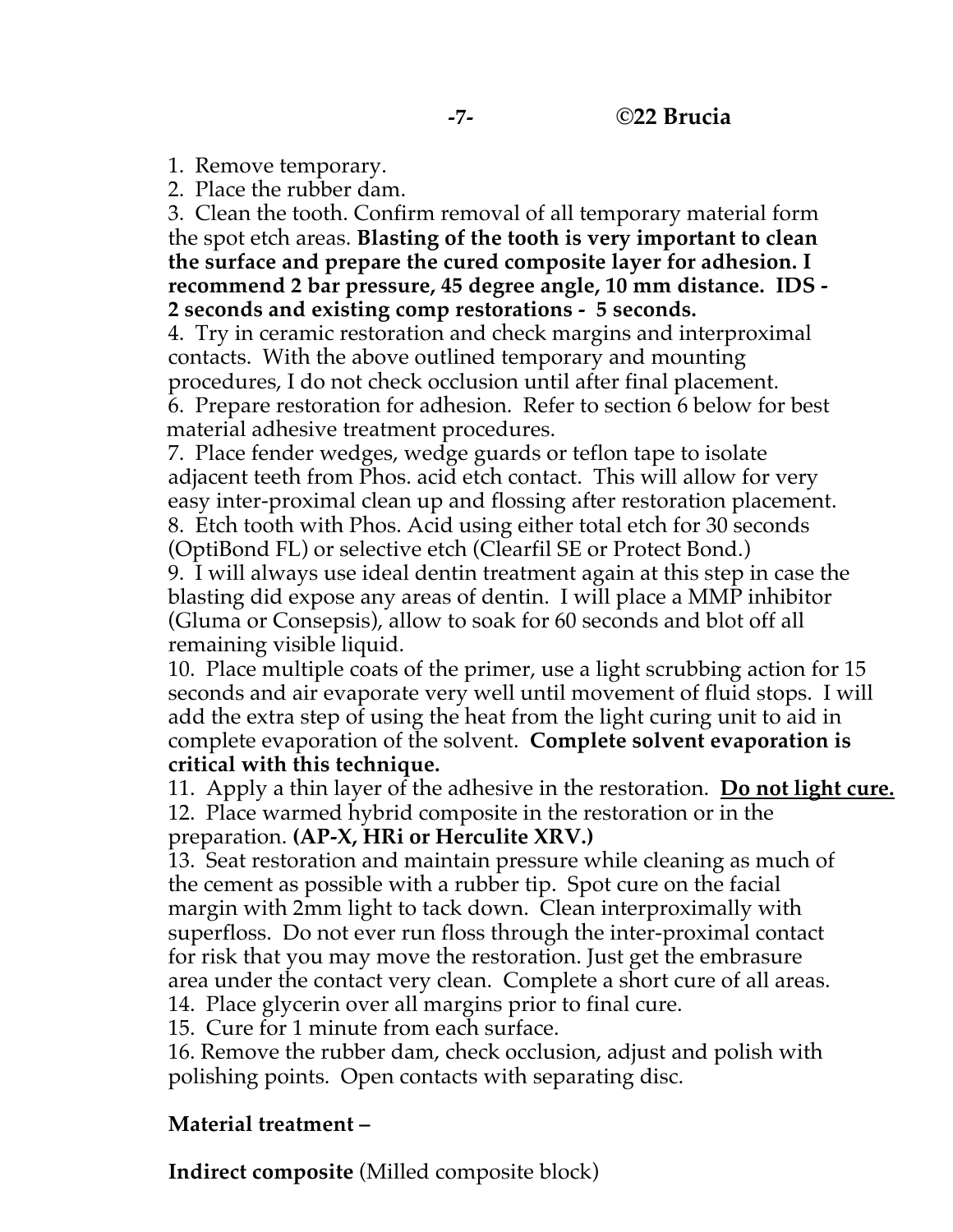1. Remove temporary.

2. Place the rubber dam.

3. Clean the tooth. Confirm removal of all temporary material form the spot etch areas. **Blasting of the tooth is very important to clean the surface and prepare the cured composite layer for adhesion. I recommend 2 bar pressure, 45 degree angle, 10 mm distance. IDS - 2 seconds and existing comp restorations - 5 seconds.**

4. Try in ceramic restoration and check margins and interproximal contacts. With the above outlined temporary and mounting procedures, I do not check occlusion until after final placement. 6. Prepare restoration for adhesion. Refer to section 6 below for best material adhesive treatment procedures.

7. Place fender wedges, wedge guards or teflon tape to isolate adjacent teeth from Phos. acid etch contact. This will allow for very easy inter-proximal clean up and flossing after restoration placement. 8. Etch tooth with Phos. Acid using either total etch for 30 seconds (OptiBond FL) or selective etch (Clearfil SE or Protect Bond.)

9. I will always use ideal dentin treatment again at this step in case the blasting did expose any areas of dentin. I will place a MMP inhibitor (Gluma or Consepsis), allow to soak for 60 seconds and blot off all remaining visible liquid.

10. Place multiple coats of the primer, use a light scrubbing action for 15 seconds and air evaporate very well until movement of fluid stops. I will add the extra step of using the heat from the light curing unit to aid in complete evaporation of the solvent. **Complete solvent evaporation is critical with this technique.** 

11. Apply a thin layer of the adhesive in the restoration. **Do not light cure.** 12. Place warmed hybrid composite in the restoration or in the

preparation. **(AP-X, HRi or Herculite XRV.)**

13. Seat restoration and maintain pressure while cleaning as much of the cement as possible with a rubber tip. Spot cure on the facial margin with 2mm light to tack down. Clean interproximally with superfloss. Do not ever run floss through the inter-proximal contact for risk that you may move the restoration. Just get the embrasure area under the contact very clean. Complete a short cure of all areas.

14. Place glycerin over all margins prior to final cure.

15. Cure for 1 minute from each surface.

16. Remove the rubber dam, check occlusion, adjust and polish with polishing points. Open contacts with separating disc.

### **Material treatment –**

**Indirect composite** (Milled composite block)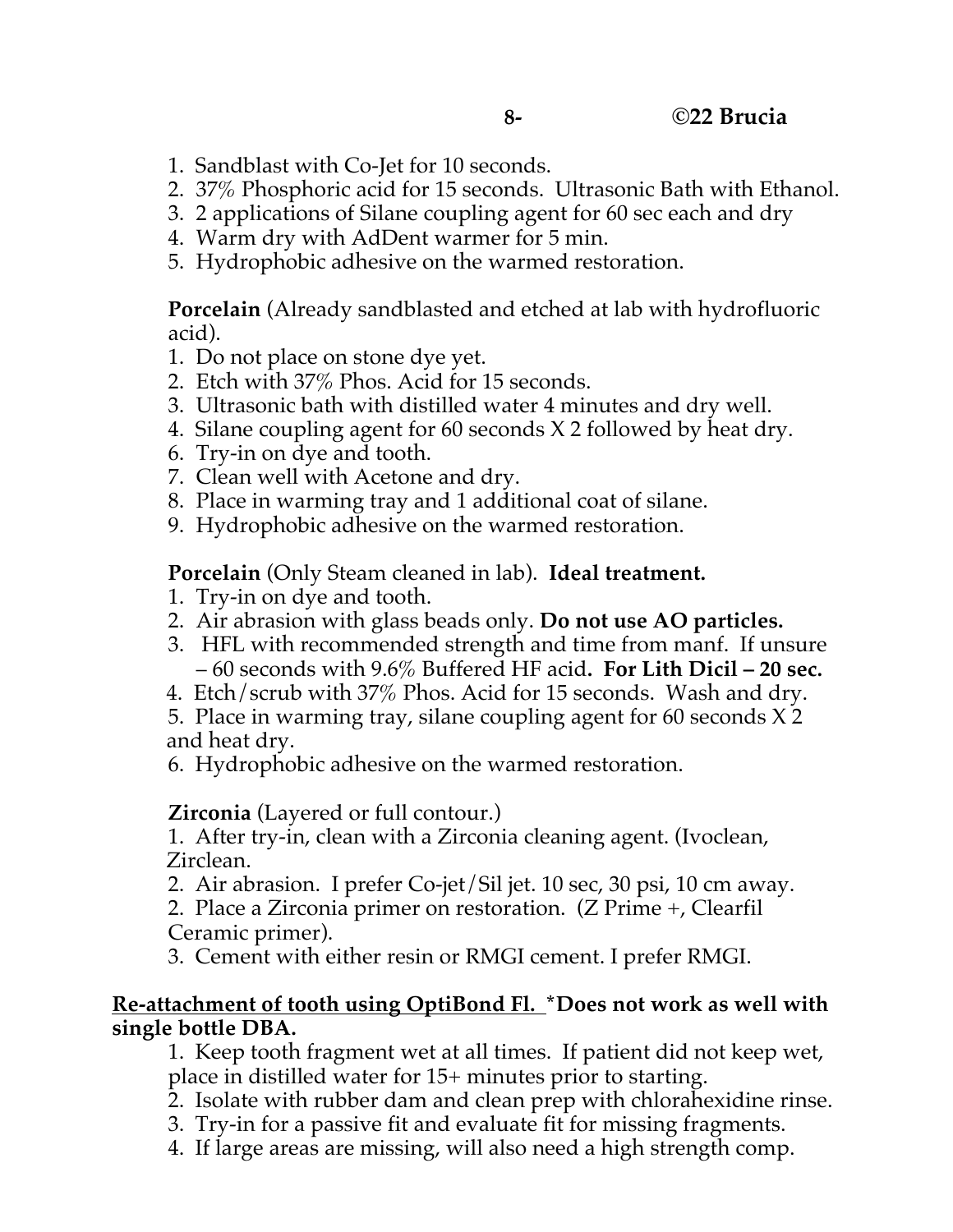- 1. Sandblast with Co-Jet for 10 seconds.
- 2. 37% Phosphoric acid for 15 seconds. Ultrasonic Bath with Ethanol.
- 3. 2 applications of Silane coupling agent for 60 sec each and dry
- 4. Warm dry with AdDent warmer for 5 min.
- 5. Hydrophobic adhesive on the warmed restoration.

**Porcelain** (Already sandblasted and etched at lab with hydrofluoric acid).

- 1. Do not place on stone dye yet.
- 2. Etch with 37% Phos. Acid for 15 seconds.
- 3. Ultrasonic bath with distilled water 4 minutes and dry well.
- 4. Silane coupling agent for 60 seconds X 2 followed by heat dry.
- 6. Try-in on dye and tooth.
- 7. Clean well with Acetone and dry.
- 8. Place in warming tray and 1 additional coat of silane.
- 9. Hydrophobic adhesive on the warmed restoration.

**Porcelain** (Only Steam cleaned in lab). **Ideal treatment.**

- 1. Try-in on dye and tooth.
- 2. Air abrasion with glass beads only. **Do not use AO particles.**
- 3. HFL with recommended strength and time from manf. If unsure – 60 seconds with 9.6% Buffered HF acid**. For Lith Dicil – 20 sec.**
- 4. Etch/scrub with 37% Phos. Acid for 15 seconds. Wash and dry.

5. Place in warming tray, silane coupling agent for 60 seconds X 2 and heat dry.

6. Hydrophobic adhesive on the warmed restoration.

**Zirconia** (Layered or full contour.)

1. After try-in, clean with a Zirconia cleaning agent. (Ivoclean, Zirclean.

2. Air abrasion. I prefer Co-jet/Sil jet. 10 sec, 30 psi, 10 cm away.

2. Place a Zirconia primer on restoration. (Z Prime +, Clearfil Ceramic primer).

3. Cement with either resin or RMGI cement. I prefer RMGI.

#### **Re-attachment of tooth using OptiBond Fl. \*Does not work as well with single bottle DBA.**

1. Keep tooth fragment wet at all times. If patient did not keep wet, place in distilled water for 15+ minutes prior to starting.

- 2. Isolate with rubber dam and clean prep with chlorahexidine rinse.
- 3. Try-in for a passive fit and evaluate fit for missing fragments.
- 4. If large areas are missing, will also need a high strength comp.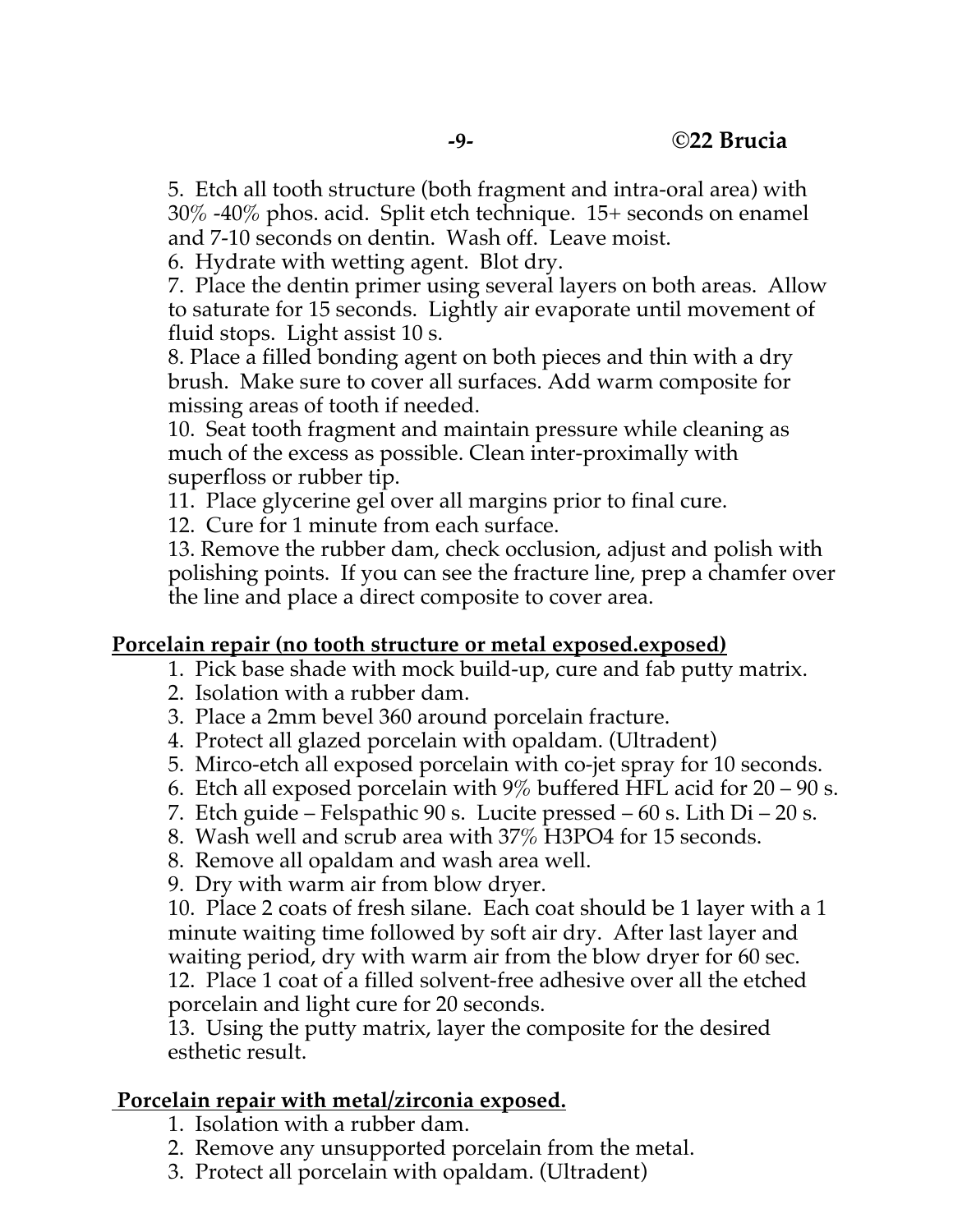5. Etch all tooth structure (both fragment and intra-oral area) with 30% -40% phos. acid. Split etch technique. 15+ seconds on enamel and 7-10 seconds on dentin. Wash off. Leave moist.

6. Hydrate with wetting agent. Blot dry.

7. Place the dentin primer using several layers on both areas. Allow to saturate for 15 seconds. Lightly air evaporate until movement of fluid stops. Light assist 10 s.

8. Place a filled bonding agent on both pieces and thin with a dry brush. Make sure to cover all surfaces. Add warm composite for missing areas of tooth if needed.

10. Seat tooth fragment and maintain pressure while cleaning as much of the excess as possible. Clean inter-proximally with superfloss or rubber tip.

11. Place glycerine gel over all margins prior to final cure.

12. Cure for 1 minute from each surface.

13. Remove the rubber dam, check occlusion, adjust and polish with polishing points. If you can see the fracture line, prep a chamfer over the line and place a direct composite to cover area.

### **Porcelain repair (no tooth structure or metal exposed.exposed)**

- 1. Pick base shade with mock build-up, cure and fab putty matrix.
- 2. Isolation with a rubber dam.
- 3. Place a 2mm bevel 360 around porcelain fracture.
- 4. Protect all glazed porcelain with opaldam. (Ultradent)
- 5. Mirco-etch all exposed porcelain with co-jet spray for 10 seconds.
- 6. Etch all exposed porcelain with  $9\%$  buffered HFL acid for 20 90 s.
- 7. Etch guide Felspathic 90 s. Lucite pressed 60 s. Lith Di 20 s.
- 8. Wash well and scrub area with 37% H3PO4 for 15 seconds.
- 8. Remove all opaldam and wash area well.
- 9. Dry with warm air from blow dryer.

10. Place 2 coats of fresh silane. Each coat should be 1 layer with a 1 minute waiting time followed by soft air dry. After last layer and waiting period, dry with warm air from the blow dryer for 60 sec. 12. Place 1 coat of a filled solvent-free adhesive over all the etched porcelain and light cure for 20 seconds.

13. Using the putty matrix, layer the composite for the desired esthetic result.

### **Porcelain repair with metal/zirconia exposed.**

- 1. Isolation with a rubber dam.
- 2. Remove any unsupported porcelain from the metal.
- 3. Protect all porcelain with opaldam. (Ultradent)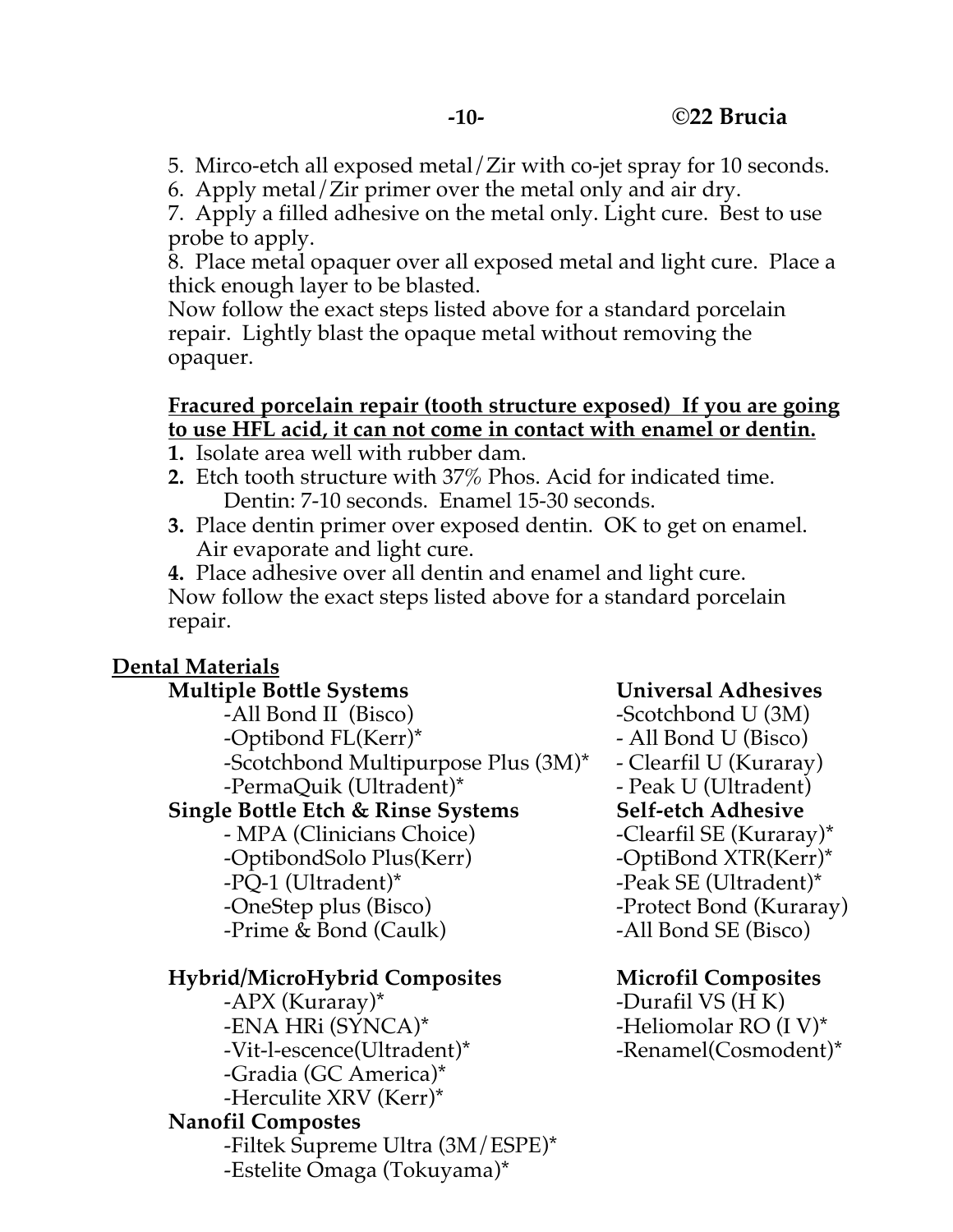- 5. Mirco-etch all exposed metal/Zir with co-jet spray for 10 seconds.
- 6. Apply metal/Zir primer over the metal only and air dry.

7. Apply a filled adhesive on the metal only. Light cure. Best to use probe to apply.

8. Place metal opaquer over all exposed metal and light cure. Place a thick enough layer to be blasted.

Now follow the exact steps listed above for a standard porcelain repair. Lightly blast the opaque metal without removing the opaquer.

#### **Fracured porcelain repair (tooth structure exposed) If you are going to use HFL acid, it can not come in contact with enamel or dentin.**

- **1.** Isolate area well with rubber dam.
- **2.** Etch tooth structure with 37% Phos. Acid for indicated time. Dentin: 7-10 seconds. Enamel 15-30 seconds.
- **3.** Place dentin primer over exposed dentin. OK to get on enamel. Air evaporate and light cure.

**4.** Place adhesive over all dentin and enamel and light cure. Now follow the exact steps listed above for a standard porcelain repair.

# **Dental Materials**

#### **Multiple Bottle Systems Universal Adhesives**

-All Bond II (Bisco) -Scotchbond U (3M) -Optibond FL(Kerr)\* - All Bond U (Bisco) -Scotchbond Multipurpose Plus (3M)\* - Clearfil U (Kuraray) -PermaQuik (Ultradent)\* Peak U (Ultradent)

# **Single Bottle Etch & Rinse Systems Self-etch Adhesive**

- MPA (Clinicians Choice) - Clearfil SE (Kuraray)\* -OptibondSolo Plus(Kerr) -OptiBond XTR(Kerr)\* -PQ-1 (Ultradent)\* -Peak SE (Ultradent)\* -OneStep plus (Bisco) - Protect Bond (Kuraray) -Prime & Bond (Caulk) -All Bond SE (Bisco)

# **Hybrid/MicroHybrid Composites Microfil Composites**

-APX (Kuraray)\* -Durafil VS (H K) -ENA HRI (SYNCA)\* -Heliomolar RO (I V)\* -Vit-l-escence(Ultradent)\* -Renamel(Cosmodent)\* -Gradia (GC America)\* -Herculite XRV (Kerr)\*

# **Nanofil Compostes**

-Filtek Supreme Ultra (3M/ESPE)\* -Estelite Omaga (Tokuyama)\*

- -
-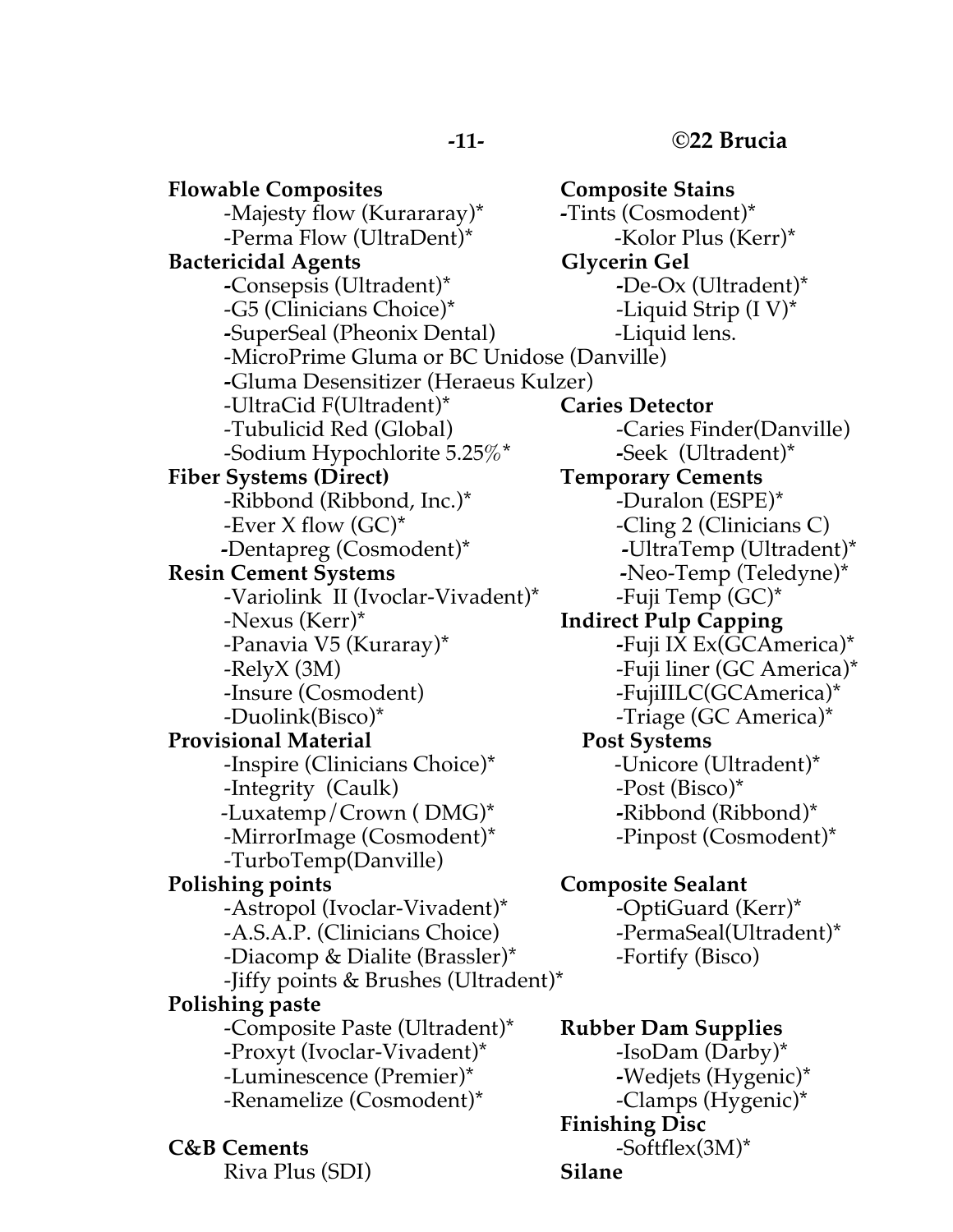**-11- ©22 Brucia**

**Flowable Composites Composite Stains** -Majesty flow (Kurararay)\* **-**Tints (Cosmodent)\* -Perma Flow (UltraDent)\* -Kolor Plus (Kerr)\* **Bactericidal Agents** Glycerin Gel **-**Consepsis (Ultradent)\* **-**De-Ox (Ultradent)\* -G5 (Clinicians Choice)\* -Liquid Strip (I V)\* **-**SuperSeal (Pheonix Dental) -Liquid lens. -MicroPrime Gluma or BC Unidose (Danville) **-**Gluma Desensitizer (Heraeus Kulzer) -UltraCid F(Ultradent)\* **Caries Detector** -Tubulicid Red (Global) - Caries Finder(Danville) -Sodium Hypochlorite 5.25%\* **-**Seek (Ultradent)\* **Fiber Systems (Direct) Temporary Cements** -Ribbond (Ribbond, Inc.)\* -Duralon (ESPE)\* -Ever X flow  $(GC)^*$  -Cling 2 (Clinicians C)  **-**Dentapreg (Cosmodent)\* **-**UltraTemp (Ultradent)\* **Resin Cement Systems -**Neo-Temp (Teledyne)\* -Variolink II (Ivoclar-Vivadent)\* -Fuji Temp (GC)\* -Nexus (Kerr)\* **Indirect Pulp Capping** -Panavia V5 (Kuraray)\* **-**Fuji IX Ex(GCAmerica)\* -RelyX (3M)  $-$ Fuji liner (GC America)\* -Insure (Cosmodent) - FujiIILC(GCAmerica)\* -Duolink(Bisco)\* -Triage (GC America)\* **Provisional Material Post Systems** -Inspire (Clinicians Choice)\* -Unicore (Ultradent)\* -Integrity (Caulk) -Post (Bisco)\* -Luxatemp/Crown ( DMG)\* **-**Ribbond (Ribbond)\* -MirrorImage (Cosmodent)\* The propose (Cosmodent)\* -TurboTemp(Danville) **Polishing points Composite Sealant** -Astropol (Ivoclar-Vivadent)\* -OptiGuard (Kerr)\* -A.S.A.P. (Clinicians Choice) -PermaSeal(Ultradent)\* -Diacomp & Dialite (Brassler)\* -Fortify (Bisco) -Jiffy points & Brushes (Ultradent)\* **Polishing paste** -Composite Paste (Ultradent)\* **Rubber Dam Supplies** -Proxyt (Ivoclar-Vivadent)\* -IsoDam (Darby)\* -Luminescence (Premier)\* **-**Wedjets (Hygenic)\* -Renamelize (Cosmodent)\* -Clamps (Hygenic)\*

Riva Plus (SDI) **Silane**

**Finishing Disc C&B Cements** -Softflex(3M)\*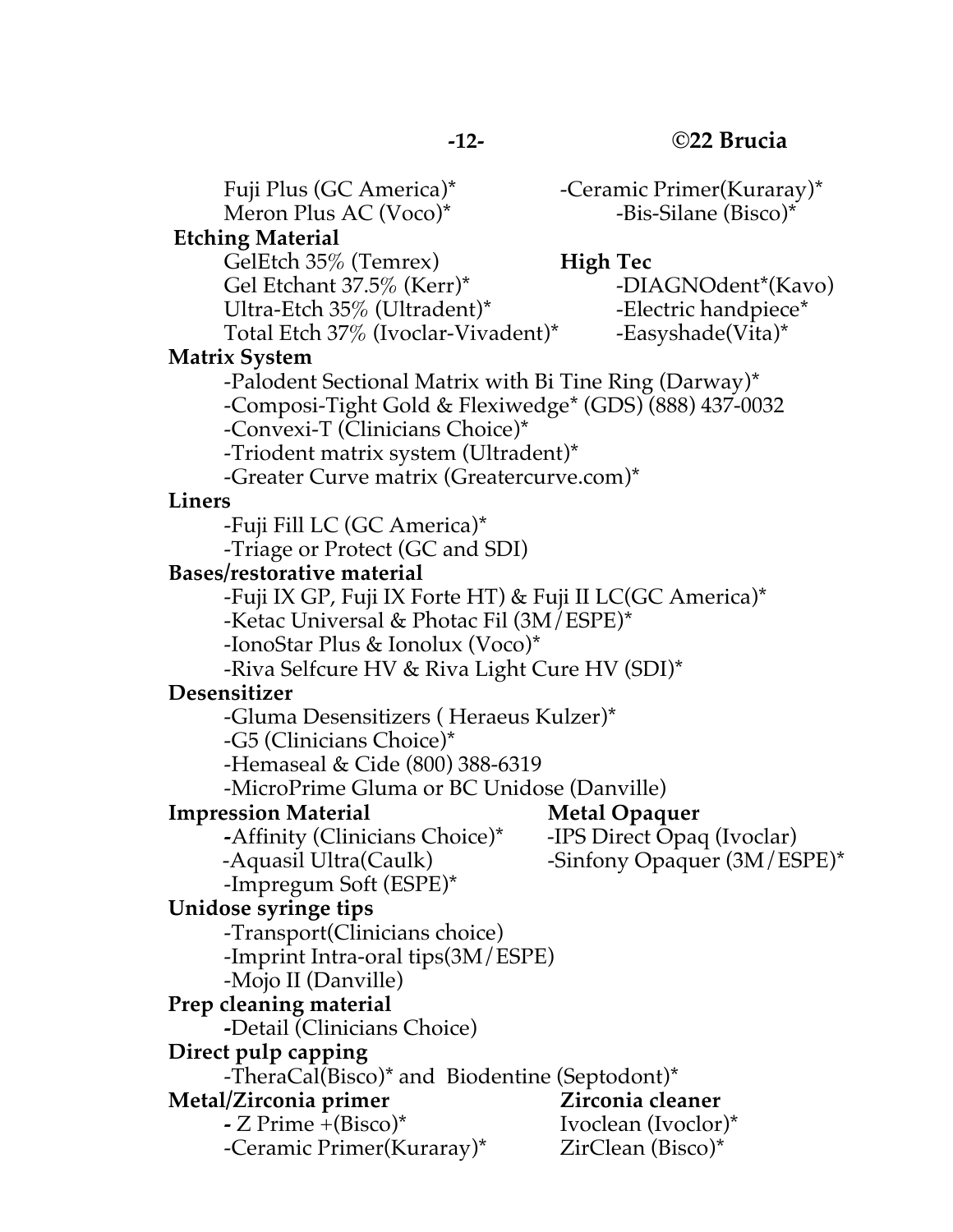Fuji Plus (GC America)\* - Ceramic Primer(Kuraray)\* Meron Plus AC (Voco)<sup>\*</sup> -Bis-Silane (Bisco)<sup>\*</sup> **Etching Material** GelEtch 35% (Temrex) **High Tec** Gel Etchant 37.5% (Kerr)\* -DIAGNOdent\*(Kavo) Ultra-Etch 35% (Ultradent)\* Flectric handpiece Total Etch 37\% (Ivoclar-Vivadent)\* -Easyshade(Vita)\* **Matrix System**  -Palodent Sectional Matrix with Bi Tine Ring (Darway)\* -Composi-Tight Gold & Flexiwedge\* (GDS) (888) 437-0032 -Convexi-T (Clinicians Choice)\* -Triodent matrix system (Ultradent)\* -Greater Curve matrix (Greatercurve.com)\* **Liners** -Fuji Fill LC (GC America)\* -Triage or Protect (GC and SDI) **Bases/restorative material** -Fuji IX GP, Fuji IX Forte HT) & Fuji II LC(GC America)\* -Ketac Universal & Photac Fil (3M/ESPE)\* -IonoStar Plus & Ionolux (Voco)\* -Riva Selfcure HV & Riva Light Cure HV (SDI)\* **Desensitizer** -Gluma Desensitizers ( Heraeus Kulzer)\* -G5 (Clinicians Choice)\* -Hemaseal & Cide (800) 388-6319 -MicroPrime Gluma or BC Unidose (Danville) **Impression Material Metal Opaquer -**Affinity (Clinicians Choice)\* -IPS Direct Opaq (Ivoclar) -Aquasil Ultra(Caulk) -Sinfony Opaquer (3M/ESPE)\* -Impregum Soft (ESPE)\* **Unidose syringe tips** -Transport(Clinicians choice) -Imprint Intra-oral tips(3M/ESPE) -Mojo II (Danville) **Prep cleaning material -**Detail (Clinicians Choice) **Direct pulp capping** -TheraCal(Bisco)\* and Biodentine (Septodont)\* **Metal/Zirconia primer Zirconia cleaner -** Z Prime +(Bisco)\* Ivoclean (Ivoclor)\* -Ceramic Primer(Kuraray)\* ZirClean (Bisco)\*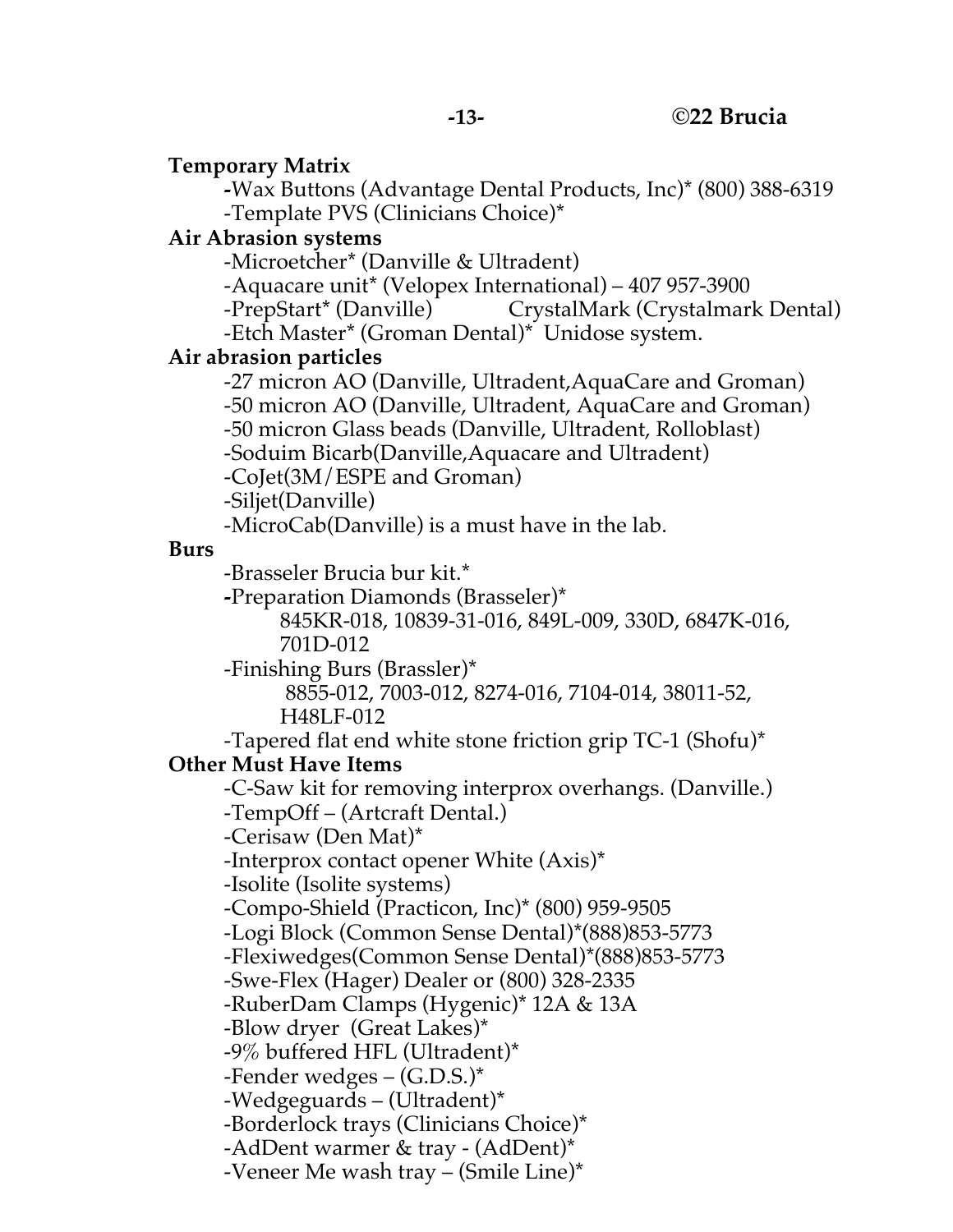#### **Temporary Matrix**

**-**Wax Buttons (Advantage Dental Products, Inc)\* (800) 388-6319 -Template PVS (Clinicians Choice)\*

#### **Air Abrasion systems**

-Microetcher\* (Danville & Ultradent)

-Aquacare unit\* (Velopex International) – 407 957-3900

-PrepStart\* (Danville) CrystalMark (Crystalmark Dental)

-Etch Master\* (Groman Dental)\* Unidose system.

#### **Air abrasion particles**

-27 micron AO (Danville, Ultradent,AquaCare and Groman) -50 micron AO (Danville, Ultradent, AquaCare and Groman)

-50 micron Glass beads (Danville, Ultradent, Rolloblast)

-Soduim Bicarb(Danville,Aquacare and Ultradent)

-CoJet(3M/ESPE and Groman)

-Siljet(Danville)

-MicroCab(Danville) is a must have in the lab.

#### **Burs**

-Brasseler Brucia bur kit.\*

**-**Preparation Diamonds (Brasseler)\*

845KR-018, 10839-31-016, 849L-009, 330D, 6847K-016, 701D-012

-Finishing Burs (Brassler)\*

8855-012, 7003-012, 8274-016, 7104-014, 38011-52, H48LF-012

-Tapered flat end white stone friction grip TC-1 (Shofu)\*

### **Other Must Have Items**

-C-Saw kit for removing interprox overhangs. (Danville.)

-TempOff – (Artcraft Dental.)

-Cerisaw (Den Mat)\*

-Interprox contact opener White (Axis)\*

-Isolite (Isolite systems)

-Compo-Shield (Practicon, Inc)\* (800) 959-9505

-Logi Block (Common Sense Dental)\*(888)853-5773

-Flexiwedges(Common Sense Dental)\*(888)853-5773

-Swe-Flex (Hager) Dealer or (800) 328-2335

-RuberDam Clamps (Hygenic)\* 12A & 13A

-Blow dryer (Great Lakes)\*

-9% buffered HFL (Ultradent)\*

-Fender wedges – (G.D.S.)\*

-Wedgeguards – (Ultradent)\*

-Borderlock trays (Clinicians Choice)\*

-AdDent warmer & tray - (AdDent)\*

-Veneer Me wash tray – (Smile Line)\*